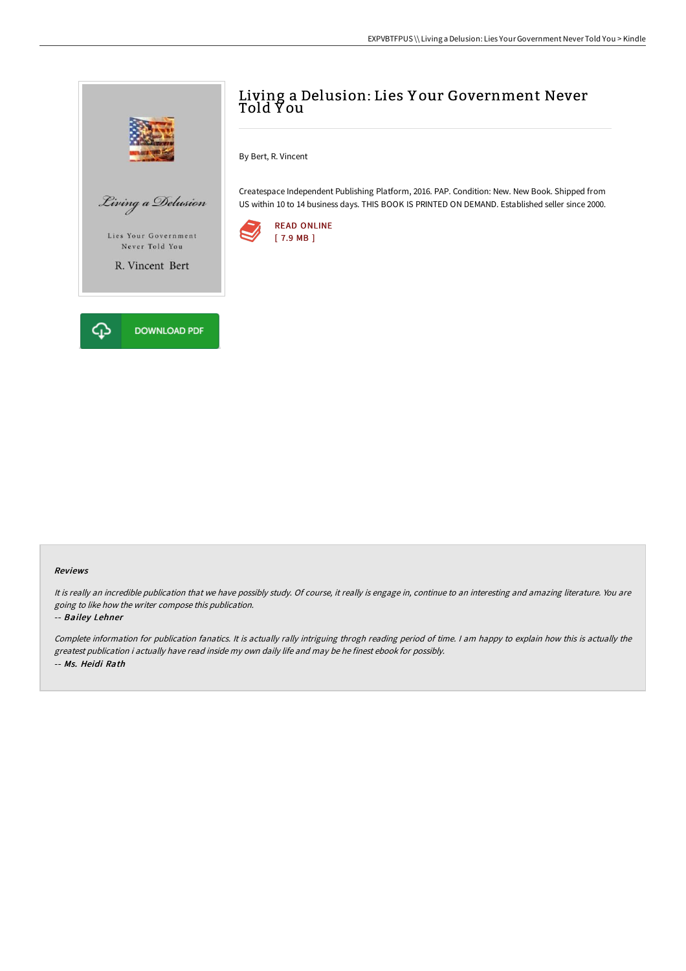

## Living a Delusion: Lies Y our Government Never Told Y ou

By Bert, R. Vincent

Createspace Independent Publishing Platform, 2016. PAP. Condition: New. New Book. Shipped from US within 10 to 14 business days. THIS BOOK IS PRINTED ON DEMAND. Established seller since 2000.



## Reviews

It is really an incredible publication that we have possibly study. Of course, it really is engage in, continue to an interesting and amazing literature. You are going to like how the writer compose this publication.

## -- Bailey Lehner

Complete information for publication fanatics. It is actually rally intriguing throgh reading period of time. <sup>I</sup> am happy to explain how this is actually the greatest publication i actually have read inside my own daily life and may be he finest ebook for possibly. -- Ms. Heidi Rath